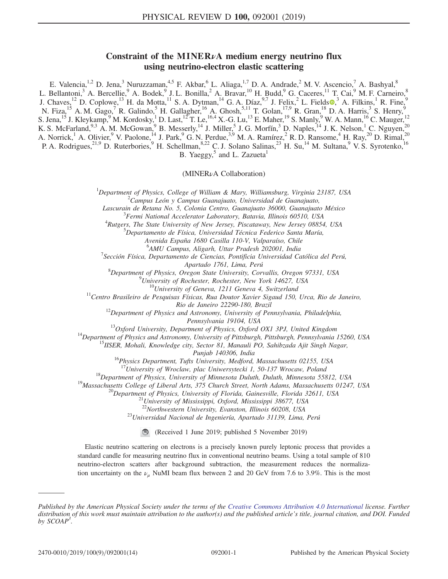# Constraint of the MINER $\nu$ A medium energy neutrino flux using neutrino-electron elastic scattering

E. Valencia, <sup>1,2</sup> D. Jena,<sup>3</sup> Nuruzzaman, <sup>4,5</sup> F. Akbar, <sup>6</sup> L. Aliaga, <sup>1,7</sup> D. A. Andrade, <sup>2</sup> M. V. Ascencio, <sup>7</sup> A. Bashyal, <sup>8</sup> L. Bellantoni,<sup>3</sup> A. Bercellie,<sup>9</sup> A. Bodek,<sup>9</sup> J. L. Bonilla,<sup>2</sup> A. Bravar,<sup>10</sup> H. Budd,<sup>9</sup> G. Caceres,<sup>11</sup> T. Cai,<sup>9</sup> M. F. Carneiro,<sup>8</sup> J. Chaves,<sup>12</sup> D. Coplowe,<sup>13</sup> H. da Motta,<sup>11</sup> S. A. Dytman,<sup>14</sup> G. A. Díaz,<sup>9,7</sup> J. Felix,<sup>2</sup> L. Fields  $\bullet$ ,<sup>3</sup> A. Filkins,<sup>1</sup> R. Fine,<sup>9</sup> N. Fiza,<sup>15</sup> A. M. Gago,<sup>7</sup> R. Galindo,<sup>5</sup> H. Gallagher,<sup>16</sup> A. Ghosh,<sup>5,11</sup> T. Golan,<sup>17,9</sup> R. Gran,<sup>18</sup> D. A. Harris,<sup>3</sup> S. Henry,<sup>9</sup> S. Jena,<sup>15</sup> J. Kleykamp,<sup>9</sup> M. Kordosky,<sup>1</sup> D. Last,<sup>12</sup> T. Le,<sup>16,4</sup> X.-G. Lu,<sup>13</sup> E. Maher,<sup>19</sup> S. Manly,<sup>9</sup> W. A. Mann,<sup>16</sup> C. Mauger,<sup>12</sup> K. S. McFarland, <sup>9,3</sup> A. M. McGowan, <sup>9</sup> B. Messerly, <sup>14</sup> J. Miller, <sup>5</sup> J. G. Morfín, <sup>3</sup> D. Naples, <sup>14</sup> J. K. Nelson, <sup>1</sup> C. Nguyen, <sup>20</sup> A. Norrick,<sup>1</sup> A. Olivier,<sup>9</sup> V. Paolone,<sup>14</sup> J. Park,<sup>9</sup> G. N. Perdue,<sup>3,9</sup> M. A. Ramírez,<sup>2</sup> R. D. Ransome,<sup>4</sup> H. Ray,<sup>20</sup> D. Rimal,<sup>20</sup> P. A. Rodrigues,<sup>21,9</sup> D. Ruterbories,<sup>9</sup> H. Schellman,<sup>8,22</sup> C. J. Solano Salinas,<sup>23</sup> H. Su,<sup>14</sup> M. Sultana,<sup>9</sup> V. S. Syrotenko,<sup>16</sup>

B. Yaeggy,  $5$  and L. Zazueta $1$ 

(MINERνA Collaboration)

<sup>1</sup>Department of Physics, College of William & Mary, Williamsburg, Virginia 23187, USA<br> $\frac{2}{3}$ Campus León y Campus Cuangjuato, Universidad de Cuangjuato

 ${}^{2}$ Campus León y Campus Guanajuato, Universidad de Guanajuato,

Lascurain de Retana No. 5, Colonia Centro, Guanajuato 36000, Guanajuato México

 ${}^{3}$ Fermi National Accelerator Laboratory, Batavia, Illinois 60510, USA

<sup>4</sup>Rutgers, The State University of New Jersey, Piscataway, New Jersey 08854, USA

 ${}^{5}$ Departamento de Física, Universidad Técnica Federico Santa María,

Avenida España 1680 Casilla 110-V, Valparaíso, Chile

<sup>6</sup> AMU Campus, Aligarh, Uttar Pradesh 202001, India<br><sup>7</sup> Sessión Eísias, Departmente de Cieneias, Pentificia Universidad Co

 $^7$ Sección Física, Departamento de Ciencias, Pontificia Universidad Católica del Perú,

Apartado 1761, Lima, Perú<br><sup>8</sup>Department of Physics, Oregon State University, Cor Department of Physics, Oregon State University, Corvallis, Oregon 97331, USA<br><sup>9</sup>University of Bockestar, Boshastar, Ngu York 14627, USA

 $^{9}$ University of Rochester, Rochester, New York 14627, USA<br><sup>10</sup>University of Geneva, 1211 Geneva 4, Switzerland<br><sup>11</sup>Centro Brasileiro de Pesquisas Físicas, Rua Doutor Xavier Sigaud 150, Urca, Rio de Janeiro,

Rio de Janeiro 22290-180, Brazil<br><sup>12</sup>Department of Physics and Astronomy, University of Pennsylvania, Philadelphia,

Pennsylvania 19104, USA<br><sup>13</sup>Oxford University, Department of Physics, Oxford OX1 3PJ, United Kingdom<br><sup>14</sup>Department of Physics and Astronomy, University of Pittsburgh, Pittsburgh, Pennsylvania 15260, USA<br><sup>15</sup>IISER, Mohali,

Punjab 140306, India<br><sup>16</sup>Physics Department, Tufts University, Medford, Massachusetts 02155, USA

<sup>17</sup>University of Wroclaw, plac Uniwersytecki 1, 50-137 Wrocaw, Poland<br><sup>18</sup>Department of Physics, University of Minnesota Duluth, Duluth, Minnesota 55812, USA<br><sup>19</sup>Massachusetts College of Liberal Arts, 375 Church Street,

<sup>23</sup>Universidad Nacional de Ingeniería, Apartado 31139, Lima, Perú

 $\bigcirc$ (Received 1 June 2019; published 5 November 2019)

Elastic neutrino scattering on electrons is a precisely known purely leptonic process that provides a standard candle for measuring neutrino flux in conventional neutrino beams. Using a total sample of 810 neutrino-electron scatters after background subtraction, the measurement reduces the normalization uncertainty on the  $\nu_{\mu}$  NuMI beam flux between 2 and 20 GeV from 7.6 to 3.9%. This is the most

Published by the American Physical Society under the terms of the [Creative Commons Attribution 4.0 International](https://creativecommons.org/licenses/by/4.0/) license. Further distribution of this work must maintain attribution to the author(s) and the published article's title, journal citation, and DOI. Funded by  $SCOAP<sup>3</sup>$ .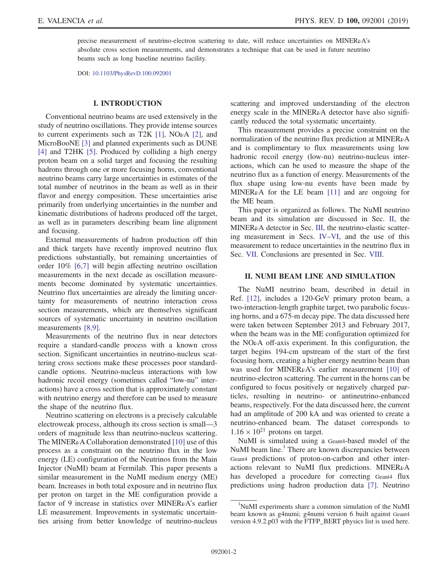precise measurement of neutrino-electron scattering to date, will reduce uncertainties on MINERνA's absolute cross section measurements, and demonstrates a technique that can be used in future neutrino beams such as long baseline neutrino facility.

DOI: [10.1103/PhysRevD.100.092001](https://doi.org/10.1103/PhysRevD.100.092001)

### I. INTRODUCTION

Conventional neutrino beams are used extensively in the study of neutrino oscillations. They provide intense sources to current experiments such as T2K [\[1\]](#page-12-0), NO $\nu$ A [\[2\]](#page-12-1), and MicroBooNE [\[3\]](#page-12-2) and planned experiments such as DUNE [\[4\]](#page-12-3) and T2HK [\[5\].](#page-12-4) Produced by colliding a high energy proton beam on a solid target and focusing the resulting hadrons through one or more focusing horns, conventional neutrino beams carry large uncertainties in estimates of the total number of neutrinos in the beam as well as in their flavor and energy composition. These uncertainties arise primarily from underlying uncertainties in the number and kinematic distributions of hadrons produced off the target, as well as in parameters describing beam line alignment and focusing.

External measurements of hadron production off thin and thick targets have recently improved neutrino flux predictions substantially, but remaining uncertainties of order 10% [\[6,7\]](#page-12-5) will begin affecting neutrino oscillation measurements in the next decade as oscillation measurements become dominated by systematic uncertainties. Neutrino flux uncertainties are already the limiting uncertainty for measurements of neutrino interaction cross section measurements, which are themselves significant sources of systematic uncertainty in neutrino oscillation measurements [\[8,9\].](#page-12-6)

Measurements of the neutrino flux in near detectors require a standard-candle process with a known cross section. Significant uncertainties in neutrino-nucleus scattering cross sections make these processes poor standardcandle options. Neutrino-nucleus interactions with low hadronic recoil energy (sometimes called "low-nu" interactions) have a cross section that is approximately constant with neutrino energy and therefore can be used to measure the shape of the neutrino flux.

Neutrino scattering on electrons is a precisely calculable electroweak process, although its cross section is small—3 orders of magnitude less than neutrino-nucleus scattering. The MINER $\nu$ A Collaboration demonstrated [\[10\]](#page-12-7) use of this process as a constraint on the neutrino flux in the low energy (LE) configuration of the Neutrinos from the Main Injector (NuMI) beam at Fermilab. This paper presents a similar measurement in the NuMI medium energy (ME) beam. Increases in both total exposure and in neutrino flux per proton on target in the ME configuration provide a factor of 9 increase in statistics over MINER $\nu$ A's earlier LE measurement. Improvements in systematic uncertainties arising from better knowledge of neutrino-nucleus scattering and improved understanding of the electron energy scale in the MINER<sub>v</sub>A detector have also significantly reduced the total systematic uncertainty.

This measurement provides a precise constraint on the normalization of the neutrino flux prediction at MINERνA and is complimentary to flux measurements using low hadronic recoil energy (low-nu) neutrino-nucleus interactions, which can be used to measure the shape of the neutrino flux as a function of energy. Measurements of the flux shape using low-nu events have been made by MINER<sub> $\nu$ </sub>A for the LE beam [\[11\]](#page-12-8) and are ongoing for the ME beam.

This paper is organized as follows. The NuMI neutrino beam and its simulation are discussed in Sec. [II,](#page-1-0) the  $MINER<sub>\nu</sub>A$  detector in Sec. [III,](#page-2-0) the neutrino-elastic scattering measurement in Secs. [IV](#page-2-1)–[VI](#page-6-0), and the use of this measurement to reduce uncertainties in the neutrino flux in Sec. [VII.](#page-9-0) Conclusions are presented in Sec. [VIII](#page-11-0).

#### <span id="page-1-0"></span>II. NUMI BEAM LINE AND SIMULATION

The NuMI neutrino beam, described in detail in Ref. [\[12\],](#page-12-9) includes a 120-GeV primary proton beam, a two-interaction-length graphite target, two parabolic focusing horns, and a 675-m decay pipe. The data discussed here were taken between September 2013 and February 2017, when the beam was in the ME configuration optimized for the NO $\nu$ A off-axis experiment. In this configuration, the target begins 194-cm upstream of the start of the first focusing horn, creating a higher energy neutrino beam than was used for MINER<sub>V</sub>A's earlier measurement [\[10\]](#page-12-7) of neutrino-electron scattering. The current in the horns can be configured to focus positively or negatively charged particles, resulting in neutrino- or antineutrino-enhanced beams, respectively. For the data discussed here, the current had an amplitude of 200 kA and was oriented to create a neutrino-enhanced beam. The dataset corresponds to  $1.16 \times 10^{21}$  protons on target.

NuMI is simulated using a Geant4-based model of the NuMI beam line.<sup>1</sup> There are known discrepancies between Geant4 predictions of proton-on-carbon and other interactions relevant to NuMI flux predictions. MINERνA has developed a procedure for correcting Geant4 flux predictions using hadron production data [\[7\].](#page-12-10) Neutrino

<sup>&</sup>lt;sup>1</sup>NuMI experiments share a common simulation of the NuMI beam known as g4numi; g4numi version 6 built against Geant4 version 4.9.2.p03 with the FTFP\_BERT physics list is used here.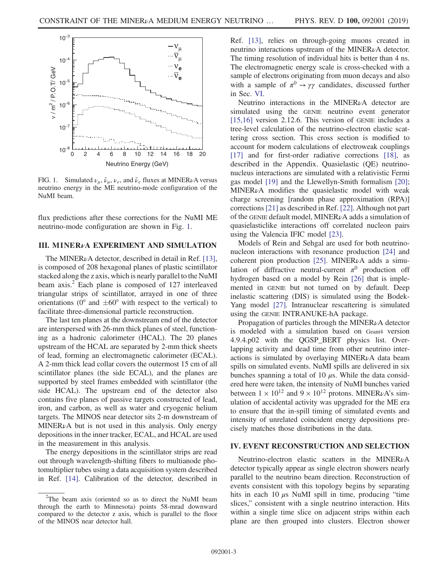<span id="page-2-2"></span>

FIG. 1. Simulated  $\nu_{\mu}$ ,  $\bar{\nu}_{\mu}$ ,  $\nu_{e}$ , and  $\bar{\nu}_{e}$  fluxes at MINER<sub>v</sub>A versus neutrino energy in the ME neutrino-mode configuration of the NuMI beam.

flux predictions after these corrections for the NuMI ME neutrino-mode configuration are shown in Fig. [1](#page-2-2).

# <span id="page-2-0"></span>III. MINERνA EXPERIMENT AND SIMULATION

The MINER $\nu$ A detector, described in detail in Ref. [\[13\]](#page-12-11), is composed of 208 hexagonal planes of plastic scintillator stacked along the z axis, which is nearly parallel to the NuMI beam axis. $<sup>2</sup>$  Each plane is composed of 127 interleaved</sup> triangular strips of scintillator, arrayed in one of three orientations (0 $^{\circ}$  and  $\pm 60^{\circ}$  with respect to the vertical) to facilitate three-dimensional particle reconstruction.

The last ten planes at the downstream end of the detector are interspersed with 26-mm thick planes of steel, functioning as a hadronic calorimeter (HCAL). The 20 planes upstream of the HCAL are separated by 2-mm thick sheets of lead, forming an electromagnetic calorimeter (ECAL). A 2-mm thick lead collar covers the outermost 15 cm of all scintillator planes (the side ECAL), and the planes are supported by steel frames embedded with scintillator (the side HCAL). The upstream end of the detector also contains five planes of passive targets constructed of lead, iron, and carbon, as well as water and cryogenic helium targets. The MINOS near detector sits 2-m downstream of  $MINERvA$  but is not used in this analysis. Only energy depositions in the inner tracker, ECAL, and HCAL are used in the measurement in this analysis.

The energy depositions in the scintillator strips are read out through wavelength-shifting fibers to multianode photomultiplier tubes using a data acquisition system described in Ref. [\[14\].](#page-12-12) Calibration of the detector, described in Ref. [\[13\],](#page-12-11) relies on through-going muons created in neutrino interactions upstream of the MINERνA detector. The timing resolution of individual hits is better than 4 ns. The electromagnetic energy scale is cross-checked with a sample of electrons originating from muon decays and also with a sample of  $\pi^0 \rightarrow \gamma \gamma$  candidates, discussed further in Sec. [VI.](#page-6-0)

Neutrino interactions in the MINER<sub>V</sub>A detector are simulated using the GENIE neutrino event generator [\[15,16\]](#page-12-13) version 2.12.6. This version of GENIE includes a tree-level calculation of the neutrino-electron elastic scattering cross section. This cross section is modified to account for modern calculations of electroweak couplings [\[17\]](#page-12-14) and for first-order radiative corrections [\[18\],](#page-12-15) as described in the Appendix. Quasielastic (QE) neutrinonucleus interactions are simulated with a relativistic Fermi gas model [\[19\]](#page-12-16) and the Llewellyn-Smith formalism [\[20\]](#page-12-17); MINER<sub>v</sub>A modifies the quasielastic model with weak charge screening [random phase approximation (RPA)] corrections [\[21\]](#page-12-18) as described in Ref. [\[22\]](#page-12-19). Although not part of the GENIE default model, MINERνA adds a simulation of quasielasticlike interactions off correlated nucleon pairs using the Valencia IFIC model [\[23\]](#page-12-20).

Models of Rein and Sehgal are used for both neutrinonucleon interactions with resonance production [\[24\]](#page-13-0) and coherent pion production [\[25\].](#page-13-1) MINER<sub>v</sub>A adds a simulation of diffractive neutral-current  $\pi^0$  production off hydrogen based on a model by Rein [\[26\]](#page-13-2) that is implemented in GENIE but not turned on by default. Deep inelastic scattering (DIS) is simulated using the Bodek-Yang model [\[27\].](#page-13-3) Intranuclear rescattering is simulated using the GENIE INTRANUKE-hA package.

Propagation of particles through the MINERνA detector is modeled with a simulation based on Geant4 version 4.9.4.p02 with the QGSP\_BERT physics list. Overlapping activity and dead time from other neutrino interactions is simulated by overlaying MINERνA data beam spills on simulated events. NuMI spills are delivered in six bunches spanning a total of 10  $\mu$ s. While the data considered here were taken, the intensity of NuMI bunches varied between  $1 \times 10^{12}$  and  $9 \times 10^{12}$  protons. MINER<sub>V</sub>A's simulation of accidental activity was upgraded for the ME era to ensure that the in-spill timing of simulated events and intensity of unrelated coincident energy depositions precisely matches those distributions in the data.

## <span id="page-2-1"></span>IV. EVENT RECONSTRUCTION AND SELECTION

Neutrino-electron elastic scatters in the MINER<sub>V</sub>A detector typically appear as single electron showers nearly parallel to the neutrino beam direction. Reconstruction of events consistent with this topology begins by separating hits in each 10  $\mu$ s NuMI spill in time, producing "time slices," consistent with a single neutrino interaction. Hits within a single time slice on adjacent strips within each plane are then grouped into clusters. Electron shower

<sup>&</sup>lt;sup>2</sup>The beam axis (oriented so as to direct the NuMI beam through the earth to Minnesota) points 58-mrad downward compared to the detector z axis, which is parallel to the floor of the MINOS near detector hall.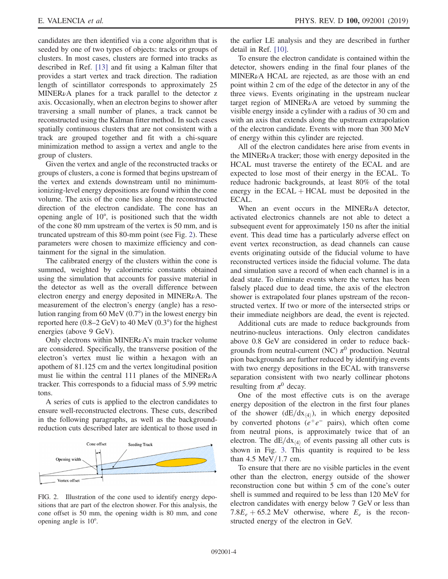candidates are then identified via a cone algorithm that is seeded by one of two types of objects: tracks or groups of clusters. In most cases, clusters are formed into tracks as described in Ref. [\[13\]](#page-12-11) and fit using a Kalman filter that provides a start vertex and track direction. The radiation length of scintillator corresponds to approximately 25 MINER<sub>v</sub>A planes for a track parallel to the detector z axis. Occasionally, when an electron begins to shower after traversing a small number of planes, a track cannot be reconstructed using the Kalman fitter method. In such cases spatially continuous clusters that are not consistent with a track are grouped together and fit with a chi-square minimization method to assign a vertex and angle to the group of clusters.

Given the vertex and angle of the reconstructed tracks or groups of clusters, a cone is formed that begins upstream of the vertex and extends downstream until no minimumionizing-level energy depositions are found within the cone volume. The axis of the cone lies along the reconstructed direction of the electron candidate. The cone has an opening angle of 10°, is positioned such that the width of the cone 80 mm upstream of the vertex is 50 mm, and is truncated upstream of this 80-mm point (see Fig. [2\)](#page-3-0). These parameters were chosen to maximize efficiency and containment for the signal in the simulation.

The calibrated energy of the clusters within the cone is summed, weighted by calorimetric constants obtained using the simulation that accounts for passive material in the detector as well as the overall difference between electron energy and energy deposited in MINERνA. The measurement of the electron's energy (angle) has a resolution ranging from 60 MeV (0.7°) in the lowest energy bin reported here  $(0.8-2 \text{ GeV})$  to 40 MeV  $(0.3^{\circ})$  for the highest energies (above 9 GeV).

Only electrons within  $MINER\nu A$ 's main tracker volume are considered. Specifically, the transverse position of the electron's vertex must lie within a hexagon with an apothem of 81.125 cm and the vertex longitudinal position must lie within the central 111 planes of the MINER<sub> $\nu$ A</sub> tracker. This corresponds to a fiducial mass of 5.99 metric tons.

A series of cuts is applied to the electron candidates to ensure well-reconstructed electrons. These cuts, described in the following paragraphs, as well as the backgroundreduction cuts described later are identical to those used in

<span id="page-3-0"></span>

FIG. 2. Illustration of the cone used to identify energy depositions that are part of the electron shower. For this analysis, the cone offset is 50 mm, the opening width is 80 mm, and cone opening angle is 10°.

the earlier LE analysis and they are described in further detail in Ref. [\[10\].](#page-12-7)

To ensure the electron candidate is contained within the detector, showers ending in the final four planes of the MINER<sub>V</sub>A HCAL are rejected, as are those with an end point within 2 cm of the edge of the detector in any of the three views. Events originating in the upstream nuclear target region of MINER $\nu$ A are vetoed by summing the visible energy inside a cylinder with a radius of 30 cm and with an axis that extends along the upstream extrapolation of the electron candidate. Events with more than 300 MeV of energy within this cylinder are rejected.

All of the electron candidates here arise from events in the MINERνA tracker; those with energy deposited in the HCAL must traverse the entirety of the ECAL and are expected to lose most of their energy in the ECAL. To reduce hadronic backgrounds, at least 80% of the total energy in the  $ECAL + HCAL$  must be deposited in the ECAL.

When an event occurs in the MINER<sub>v</sub>A detector, activated electronics channels are not able to detect a subsequent event for approximately 150 ns after the initial event. This dead time has a particularly adverse effect on event vertex reconstruction, as dead channels can cause events originating outside of the fiducial volume to have reconstructed vertices inside the fiducial volume. The data and simulation save a record of when each channel is in a dead state. To eliminate events where the vertex has been falsely placed due to dead time, the axis of the electron shower is extrapolated four planes upstream of the reconstructed vertex. If two or more of the intersected strips or their immediate neighbors are dead, the event is rejected.

Additional cuts are made to reduce backgrounds from neutrino-nucleus interactions. Only electron candidates above 0.8 GeV are considered in order to reduce backgrounds from neutral-current (NC)  $\pi^0$  production. Neutral pion backgrounds are further reduced by identifying events with two energy depositions in the ECAL with transverse separation consistent with two nearly collinear photons resulting from  $\pi^0$  decay.

One of the most effective cuts is on the average energy deposition of the electron in the first four planes of the shower  $(dE/dx_{(4)})$ , in which energy deposited by converted photons ( $e^+e^-$  pairs), which often come from neutral pions, is approximately twice that of an electron. The  $dE/dx_{\langle 4 \rangle}$  of events passing all other cuts is shown in Fig. [3](#page-4-0). This quantity is required to be less than  $4.5 \text{ MeV}/1.7 \text{ cm}$ .

To ensure that there are no visible particles in the event other than the electron, energy outside of the shower reconstruction cone but within 5 cm of the cone's outer shell is summed and required to be less than 120 MeV for electron candidates with energy below 7 GeV or less than 7.8 $E_e$  + 65.2 MeV otherwise, where  $E_e$  is the reconstructed energy of the electron in GeV.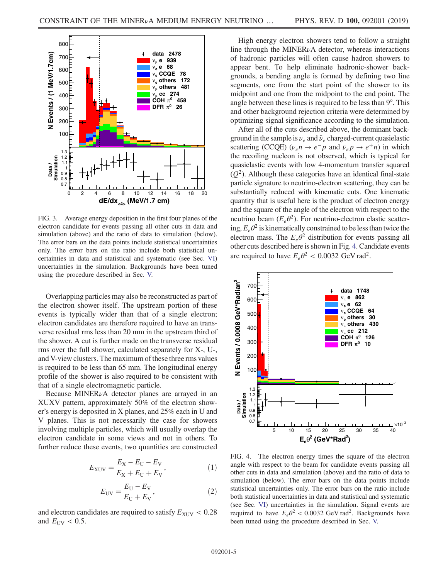<span id="page-4-0"></span>

FIG. 3. Average energy deposition in the first four planes of the electron candidate for events passing all other cuts in data and simulation (above) and the ratio of data to simulation (below). The error bars on the data points include statistical uncertainties only. The error bars on the ratio include both statistical uncertainties in data and statistical and systematic (see Sec. [VI\)](#page-6-0) uncertainties in the simulation. Backgrounds have been tuned using the procedure described in Sec. [V.](#page-5-0)

Overlapping particles may also be reconstructed as part of the electron shower itself. The upstream portion of these events is typically wider than that of a single electron; electron candidates are therefore required to have an transverse residual rms less than 20 mm in the upstream third of the shower. A cut is further made on the transverse residual rms over the full shower, calculated separately for X-, U-, and V-view clusters. The maximum of these three rms values is required to be less than 65 mm. The longitudinal energy profile of the shower is also required to be consistent with that of a single electromagnetic particle.

Because MINER<sub>V</sub>A detector planes are arrayed in an XUXV pattern, approximately 50% of the electron shower's energy is deposited in X planes, and 25% each in U and V planes. This is not necessarily the case for showers involving multiple particles, which will usually overlap the electron candidate in some views and not in others. To further reduce these events, two quantities are constructed

$$
E_{\rm XUV} = \frac{E_{\rm X} - E_{\rm U} - E_{\rm V}}{E_{\rm X} + E_{\rm U} + E_{\rm V}},\tag{1}
$$

$$
E_{\rm UV} = \frac{E_{\rm U} - E_{\rm V}}{E_{\rm U} + E_{\rm V}},\tag{2}
$$

and electron candidates are required to satisfy  $E_{\text{XUV}} < 0.28$ and  $E_{UV}$  < 0.5.

High energy electron showers tend to follow a straight line through the MINER $\nu$ A detector, whereas interactions of hadronic particles will often cause hadron showers to appear bent. To help eliminate hadronic-shower backgrounds, a bending angle is formed by defining two line segments, one from the start point of the shower to its midpoint and one from the midpoint to the end point. The angle between these lines is required to be less than 9°. This and other background rejection criteria were determined by optimizing signal significance according to the simulation.

After all of the cuts described above, the dominant background in the sample is  $\nu_e$  and  $\bar{\nu}_e$  charged-current quasielastic scattering (CCQE) ( $\nu_e n \to e^- p$  and  $\bar{\nu}_e p \to e^+ n$ ) in which the recoiling nucleon is not observed, which is typical for quasielastic events with low 4-momentum transfer squared  $(Q<sup>2</sup>)$ . Although these categories have an identical final-state particle signature to neutrino-electron scattering, they can be substantially reduced with kinematic cuts. One kinematic quantity that is useful here is the product of electron energy and the square of the angle of the electron with respect to the neutrino beam  $(E_e \theta^2)$ . For neutrino-electron elastic scattering,  $E_e\theta^2$  is kinematically constrained to be less than twice the electron mass. The  $E_e\theta^2$  distribution for events passing all other cuts described here is shown in Fig. [4.](#page-4-1) Candidate events are required to have  $E_e\theta^2 < 0.0032$  GeV rad<sup>2</sup>.

<span id="page-4-1"></span>

FIG. 4. The electron energy times the square of the electron angle with respect to the beam for candidate events passing all other cuts in data and simulation (above) and the ratio of data to simulation (below). The error bars on the data points include statistical uncertainties only. The error bars on the ratio include both statistical uncertainties in data and statistical and systematic (see Sec. [VI](#page-6-0)) uncertainties in the simulation. Signal events are required to have  $E_e\theta^2 < 0.0032$  GeV rad<sup>2</sup>. Backgrounds have been tuned using the procedure described in Sec. [V.](#page-5-0)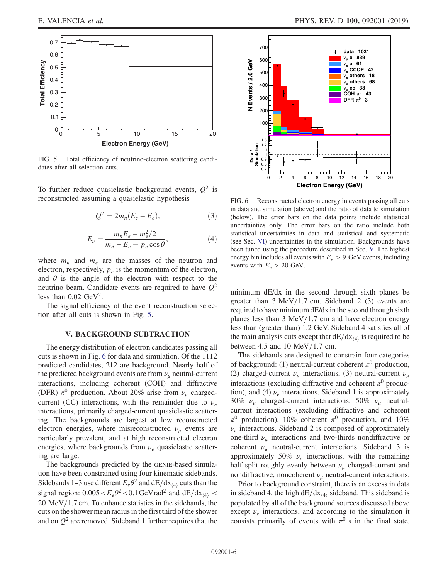<span id="page-5-1"></span>

FIG. 5. Total efficiency of neutrino-electron scattering candidates after all selection cuts.

To further reduce quasielastic background events,  $Q^2$  is reconstructed assuming a quasielastic hypothesis

$$
Q^2 = 2m_n(E_\nu - E_e),\tag{3}
$$

$$
E_{\nu} = \frac{m_{n}E_{e} - m_{e}^{2}/2}{m_{n} - E_{e} + p_{e}\cos\theta},
$$
\n(4)

where  $m_n$  and  $m_e$  are the masses of the neutron and electron, respectively,  $p_e$  is the momentum of the electron, and  $\theta$  is the angle of the electron with respect to the neutrino beam. Candidate events are required to have  $Q^2$ less than  $0.02 \text{ GeV}^2$ .

The signal efficiency of the event reconstruction selection after all cuts is shown in Fig. [5](#page-5-1).

# V. BACKGROUND SUBTRACTION

<span id="page-5-0"></span>The energy distribution of electron candidates passing all cuts is shown in Fig. [6](#page-5-2) for data and simulation. Of the 1112 predicted candidates, 212 are background. Nearly half of the predicted background events are from  $\nu_{\mu}$  neutral-current interactions, including coherent (COH) and diffractive (DFR)  $\pi^0$  production. About 20% arise from  $\nu_\mu$  chargedcurrent (CC) interactions, with the remainder due to  $\nu_e$ interactions, primarily charged-current quasielastic scattering. The backgrounds are largest at low reconstructed electron energies, where misreconstructed  $\nu_{\mu}$  events are particularly prevalent, and at high reconstructed electron energies, where backgrounds from  $\nu_e$  quasielastic scattering are large.

The backgrounds predicted by the GENIE-based simulation have been constrained using four kinematic sidebands. Sidebands 1–3 use different  $E_e\theta^2$  and  $dE/dx_{(4)}$  cuts than the signal region:  $0.005 < E_e \theta^2 < 0.1$  GeV rad<sup>2</sup> and dE/dx<sub>(4)</sub> <  $20$  MeV $/1.7$  cm. To enhance statistics in the sidebands, the cuts on the shower mean radius in the first third of the shower and on  $Q^2$  are removed. Sideband 1 further requires that the

<span id="page-5-2"></span>

FIG. 6. Reconstructed electron energy in events passing all cuts in data and simulation (above) and the ratio of data to simulation (below). The error bars on the data points include statistical uncertainties only. The error bars on the ratio include both statistical uncertainties in data and statistical and systematic (see Sec. [VI](#page-6-0)) uncertainties in the simulation. Backgrounds have been tuned using the procedure described in Sec. [V.](#page-5-0) The highest energy bin includes all events with  $E_e > 9$  GeV events, including events with  $E_e > 20$  GeV.

minimum dE/dx in the second through sixth planes be greater than  $3 \text{ MeV}/1.7 \text{ cm}$ . Sideband 2 (3) events are required to have minimum dE/dx in the second through sixth planes less than  $3 \text{ MeV}/1.7 \text{ cm}$  and have electron energy less than (greater than) 1.2 GeV. Sideband 4 satisfies all of the main analysis cuts except that  $dE/dx_{\langle 4 \rangle}$  is required to be between 4.5 and 10 MeV/1.7 cm.

The sidebands are designed to constrain four categories of background: (1) neutral-current coherent  $\pi^0$  production, (2) charged-current  $\nu_{\mu}$  interactions, (3) neutral-current  $\nu_{\mu}$ interactions (excluding diffractive and coherent  $\pi^0$  production), and (4)  $\nu_e$  interactions. Sideband 1 is approximately 30%  $\nu_{\mu}$  charged-current interactions, 50%  $\nu_{\mu}$  neutralcurrent interactions (excluding diffractive and coherent  $\pi^0$  production), 10% coherent  $\pi^0$  production, and 10%  $\nu_e$  interactions. Sideband 2 is composed of approximately one-third  $\nu_{\mu}$  interactions and two-thirds nondiffractive or coherent  $\nu_{\mu}$  neutral-current interactions. Sideband 3 is approximately 50%  $\nu_e$  interactions, with the remaining half split roughly evenly between  $\nu_{\mu}$  charged-current and nondiffractive, noncoherent  $\nu_u$  neutral-current interactions.

Prior to background constraint, there is an excess in data in sideband 4, the high  $dE/dx_{\langle 4 \rangle}$  sideband. This sideband is populated by all of the background sources discussed above except  $\nu_e$  interactions, and according to the simulation it consists primarily of events with  $\pi^0$  s in the final state.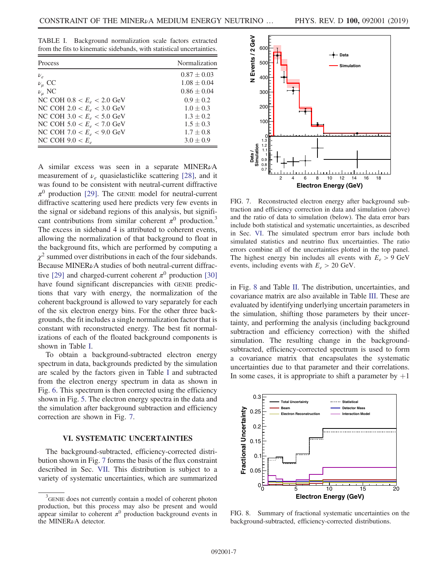<span id="page-6-1"></span>TABLE I. Background normalization scale factors extracted from the fits to kinematic sidebands, with statistical uncertainties.

| Process                      | Normalization   |  |  |
|------------------------------|-----------------|--|--|
| $\nu_e$                      | $0.87 \pm 0.03$ |  |  |
| $\nu_{\mu}$ CC               | $1.08 \pm 0.04$ |  |  |
| $\nu_u$ NC                   | $0.86 \pm 0.04$ |  |  |
| NC COH $0.8 < E_e < 2.0$ GeV | $0.9 \pm 0.2$   |  |  |
| NC COH $2.0 < E_e < 3.0$ GeV | $1.0 \pm 0.3$   |  |  |
| NC COH $3.0 < E_e < 5.0$ GeV | $1.3 \pm 0.2$   |  |  |
| NC COH $5.0 < E_e < 7.0$ GeV | $1.5 \pm 0.3$   |  |  |
| NC COH 7.0 $< E_e < 9.0$ GeV | $1.7 \pm 0.8$   |  |  |
| NC COH $9.0 < E_e$           | $3.0 \pm 0.9$   |  |  |

A similar excess was seen in a separate MINERνA measurement of  $\nu_e$  quasielasticlike scattering [\[28\],](#page-13-4) and it was found to be consistent with neutral-current diffractive  $\pi^0$  production [\[29\].](#page-13-5) The GENIE model for neutral-current diffractive scattering used here predicts very few events in the signal or sideband regions of this analysis, but significant contributions from similar coherent  $\pi^0$  production.<sup>3</sup> The excess in sideband 4 is attributed to coherent events, allowing the normalization of that background to float in the background fits, which are performed by computing a  $\chi^2$  summed over distributions in each of the four sidebands. Because MINER<sub>V</sub>A studies of both neutral-current diffrac-tive [\[29\]](#page-13-5) and charged-current coherent  $\pi^0$  production [\[30\]](#page-13-6) have found significant discrepancies with GENIE predictions that vary with energy, the normalization of the coherent background is allowed to vary separately for each of the six electron energy bins. For the other three backgrounds, the fit includes a single normalization factor that is constant with reconstructed energy. The best fit normalizations of each of the floated background components is shown in Table [I](#page-6-1).

To obtain a background-subtracted electron energy spectrum in data, backgrounds predicted by the simulation are scaled by the factors given in Table [I](#page-6-1) and subtracted from the electron energy spectrum in data as shown in Fig. [6.](#page-5-2) This spectrum is then corrected using the efficiency shown in Fig. [5.](#page-5-1) The electron energy spectra in the data and the simulation after background subtraction and efficiency correction are shown in Fig. [7.](#page-6-2)

## VI. SYSTEMATIC UNCERTAINTIES

<span id="page-6-0"></span>The background-subtracted, efficiency-corrected distribution shown in Fig. [7](#page-6-2) forms the basis of the flux constraint described in Sec. [VII.](#page-9-0) This distribution is subject to a variety of systematic uncertainties, which are summarized

<span id="page-6-2"></span>

FIG. 7. Reconstructed electron energy after background subtraction and efficiency correction in data and simulation (above) and the ratio of data to simulation (below). The data error bars include both statistical and systematic uncertainties, as described in Sec. [VI](#page-6-0). The simulated spectrum error bars include both simulated statistics and neutrino flux uncertainties. The ratio errors combine all of the uncertainties plotted in the top panel. The highest energy bin includes all events with  $E_e > 9$  GeV events, including events with  $E_e > 20$  GeV.

in Fig. [8](#page-6-3) and Table [II.](#page-7-0) The distribution, uncertainties, and covariance matrix are also available in Table [III](#page-7-1). These are evaluated by identifying underlying uncertain parameters in the simulation, shifting those parameters by their uncertainty, and performing the analysis (including background subtraction and efficiency correction) with the shifted simulation. The resulting change in the backgroundsubtracted, efficiency-corrected spectrum is used to form a covariance matrix that encapsulates the systematic uncertainties due to that parameter and their correlations. In some cases, it is appropriate to shift a parameter by  $+1$ 

<span id="page-6-3"></span>

FIG. 8. Summary of fractional systematic uncertainties on the background-subtracted, efficiency-corrected distributions.

<sup>&</sup>lt;sup>3</sup>GENIE does not currently contain a model of coherent photon production, but this process may also be present and would appear similar to coherent  $\pi^0$  production background events in the MINERνA detector.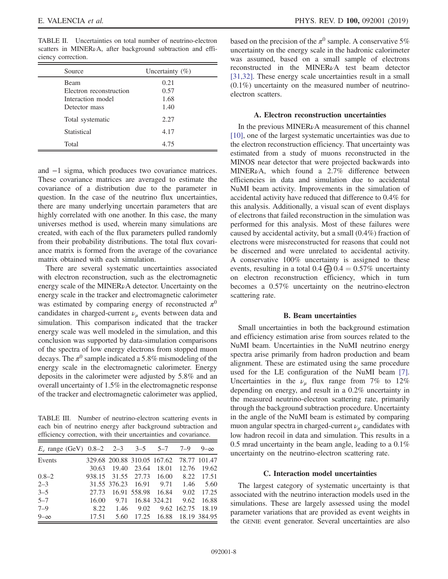| Source                  | Uncertainty $(\%)$ |
|-------------------------|--------------------|
| <b>Beam</b>             | 0.21               |
| Electron reconstruction | 0.57               |
| Interaction model       | 1.68               |
| Detector mass           | 1.40               |
| Total systematic        | 2.27               |
| Statistical             | 4.17               |
| Total                   | 4.75               |

<span id="page-7-0"></span>TABLE II. Uncertainties on total number of neutrino-electron scatters in MINER<sub>V</sub>A, after background subtraction and efficiency correction.

and −1 sigma, which produces two covariance matrices. These covariance matrices are averaged to estimate the covariance of a distribution due to the parameter in question. In the case of the neutrino flux uncertainties, there are many underlying uncertain parameters that are highly correlated with one another. In this case, the many universes method is used, wherein many simulations are created, with each of the flux parameters pulled randomly from their probability distributions. The total flux covariance matrix is formed from the average of the covariance matrix obtained with each simulation.

There are several systematic uncertainties associated with electron reconstruction, such as the electromagnetic energy scale of the MINERνA detector. Uncertainty on the energy scale in the tracker and electromagnetic calorimeter was estimated by comparing energy of reconstructed  $\pi^0$ candidates in charged-current  $\nu_{\mu}$  events between data and simulation. This comparison indicated that the tracker energy scale was well modeled in the simulation, and this conclusion was supported by data-simulation comparisons of the spectra of low energy electrons from stopped muon decays. The  $\pi^0$  sample indicated a 5.8% mismodeling of the energy scale in the electromagnetic calorimeter. Energy deposits in the calorimeter were adjusted by 5.8% and an overall uncertainty of 1.5% in the electromagnetic response of the tracker and electromagnetic calorimeter was applied,

<span id="page-7-1"></span>TABLE III. Number of neutrino-electron scattering events in each bin of neutrino energy after background subtraction and efficiency correction, with their uncertainties and covariance.

| $E_e$ range (GeV) 0.8-2 2-3 3-5 5-7 7-9 |       |        |                          |                                          |             | $9-\infty$   |
|-----------------------------------------|-------|--------|--------------------------|------------------------------------------|-------------|--------------|
| Events                                  |       |        |                          | 329.68 200.88 310.05 167.62 78.77 101.47 |             |              |
|                                         | 30.63 |        | 19.40 23.64 18.01        |                                          | 12.76       | 19.62        |
| $0.8 - 2$                               |       |        | 938.15 31.55 27.73 16.00 |                                          | 8.22        | 17.51        |
| $2 - 3$                                 |       |        |                          | 31.55 376.23 16.91 9.71                  | 1.46        | 5.60         |
| $3 - 5$                                 | 27.73 |        | 16.91 558.98             |                                          | 16.84 9.02  | 17.25        |
| $5 - 7$                                 | 16.00 | 9.71   |                          | 16.84 324.21                             | 9.62        | 16.88        |
| $7 - 9$                                 | 8.22  | - 1.46 | 9.02                     |                                          | 9.62 162.75 | 18.19        |
| $9-\infty$                              | 17.51 | 5.60   |                          | 17.25 16.88                              |             | 18.19 384.95 |

based on the precision of the  $\pi^0$  sample. A conservative 5% uncertainty on the energy scale in the hadronic calorimeter was assumed, based on a small sample of electrons reconstructed in the MINERνA test beam detector [\[31,32\]](#page-13-7). These energy scale uncertainties result in a small (0.1%) uncertainty on the measured number of neutrinoelectron scatters.

#### A. Electron reconstruction uncertainties

In the previous MINER $\nu$ A measurement of this channel [\[10\]](#page-12-7), one of the largest systematic uncertainties was due to the electron reconstruction efficiency. That uncertainty was estimated from a study of muons reconstructed in the MINOS near detector that were projected backwards into MINER<sub> $\nu$ A, which found a 2.7% difference between</sub> efficiencies in data and simulation due to accidental NuMI beam activity. Improvements in the simulation of accidental activity have reduced that difference to 0.4% for this analysis. Additionally, a visual scan of event displays of electrons that failed reconstruction in the simulation was performed for this analysis. Most of these failures were caused by accidental activity, but a small (0.4%) fraction of electrons were misreconstructed for reasons that could not be discerned and were unrelated to accidental activity. A conservative 100% uncertainty is assigned to these events, resulting in a total  $0.4 \bigoplus 0.4 = 0.57\%$  uncertainty on electron reconstruction efficiency, which in turn becomes a 0.57% uncertainty on the neutrino-electron scattering rate.

#### B. Beam uncertainties

Small uncertainties in both the background estimation and efficiency estimation arise from sources related to the NuMI beam. Uncertainties in the NuMI neutrino energy spectra arise primarily from hadron production and beam alignment. These are estimated using the same procedure used for the LE configuration of the NuMI beam [\[7\]](#page-12-10). Uncertainties in the  $\nu_{\mu}$  flux range from 7% to 12% depending on energy, and result in a 0.2% uncertainty in the measured neutrino-electron scattering rate, primarily through the background subtraction procedure. Uncertainty in the angle of the NuMI beam is estimated by comparing muon angular spectra in charged-current  $\nu_{\mu}$  candidates with low hadron recoil in data and simulation. This results in a 0.5 mrad uncertainty in the beam angle, leading to a 0.1% uncertainty on the neutrino-electron scattering rate.

## C. Interaction model uncertainties

The largest category of systematic uncertainty is that associated with the neutrino interaction models used in the simulations. These are largely assessed using the model parameter variations that are provided as event weights in the GENIE event generator. Several uncertainties are also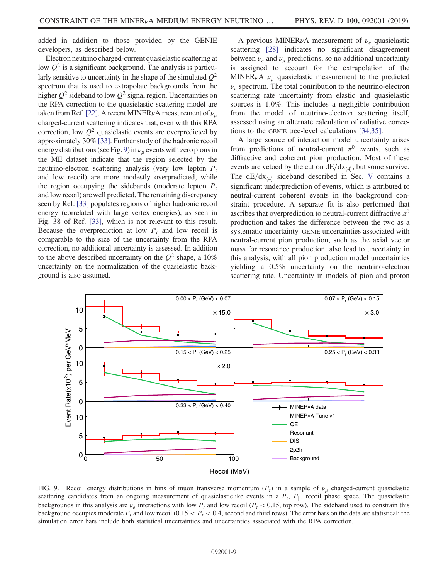added in addition to those provided by the GENIE developers, as described below.

Electron neutrino charged-current quasielastic scattering at low  $Q^2$  is a significant background. The analysis is particularly sensitive to uncertainty in the shape of the simulated  $Q^2$ spectrum that is used to extrapolate backgrounds from the higher  $Q^2$  sideband to low  $Q^2$  signal region. Uncertainties on the RPA correction to the quasielastic scattering model are taken from Ref. [\[22\].](#page-12-19) A recent MINER<sub>V</sub>A measurement of  $\nu_{\mu}$ charged-current scattering indicates that, even with this RPA correction, low  $Q^2$  quasielastic events are overpredicted by approximately 30% [\[33\].](#page-13-8) Further study of the hadronic recoil energy distributions (see Fig. [9\)](#page-8-0) in  $\nu_{\mu}$  events with zero pions in the ME dataset indicate that the region selected by the neutrino-electron scattering analysis (very low lepton  $P_t$ and low recoil) are more modestly overpredicted, while the region occupying the sidebands (moderate lepton  $P_t$ and low recoil) are well predicted. The remaining discrepancy seen by Ref. [\[33\]](#page-13-8) populates regions of higher hadronic recoil energy (correlated with large vertex energies), as seen in Fig. 38 of Ref. [\[33\],](#page-13-8) which is not relevant to this result. Because the overprediction at low  $P_t$  and low recoil is comparable to the size of the uncertainty from the RPA correction, no additional uncertainty is assessed. In addition to the above described uncertainty on the  $Q^2$  shape, a 10% uncertainty on the normalization of the quasielastic background is also assumed.

A previous MINER<sub> $\nu$ </sub>A measurement of  $\nu_e$  quasielastic scattering [\[28\]](#page-13-4) indicates no significant disagreement between  $\nu_e$  and  $\nu_\mu$  predictions, so no additional uncertainty is assigned to account for the extrapolation of the MINER<sub> $\nu$ A</sub>  $\nu_{\mu}$  quasielastic measurement to the predicted  $\nu_e$  spectrum. The total contribution to the neutrino-electron scattering rate uncertainty from elastic and quasielastic sources is 1.0%. This includes a negligible contribution from the model of neutrino-electron scattering itself, assessed using an alternate calculation of radiative corrections to the GENIE tree-level calculations [\[34,35\]](#page-13-9).

A large source of interaction model uncertainty arises from predictions of neutral-current  $\pi^0$  events, such as diffractive and coherent pion production. Most of these events are vetoed by the cut on  $dE/dx_{\langle 4 \rangle}$ , but some survive. The  $dE/dx_{\langle 4 \rangle}$  sideband described in Sec. [V](#page-5-0) contains a significant underprediction of events, which is attributed to neutral-current coherent events in the background constraint procedure. A separate fit is also performed that ascribes that overprediction to neutral-current diffractive  $\pi^0$ production and takes the difference between the two as a systematic uncertainty. GENIE uncertainties associated with neutral-current pion production, such as the axial vector mass for resonance production, also lead to uncertainty in this analysis, with all pion production model uncertainties yielding a 0.5% uncertainty on the neutrino-electron scattering rate. Uncertainty in models of pion and proton

<span id="page-8-0"></span>

FIG. 9. Recoil energy distributions in bins of muon transverse momentum  $(P<sub>t</sub>)$  in a sample of  $\nu_{\mu}$  charged-current quasielastic scattering candidates from an ongoing measurement of quasielasticlike events in a  $P_t$ ,  $P_{\parallel}$ , recoil phase space. The quasielastic backgrounds in this analysis are  $\nu_e$  interactions with low  $P_t$  and low recoil ( $P_t < 0.15$ , top row). The sideband used to constrain this background occupies moderate  $P_t$  and low recoil (0.15 <  $P_t$  < 0.4, second and third rows). The error bars on the data are statistical; the simulation error bars include both statistical uncertainties and uncertainties associated with the RPA correction.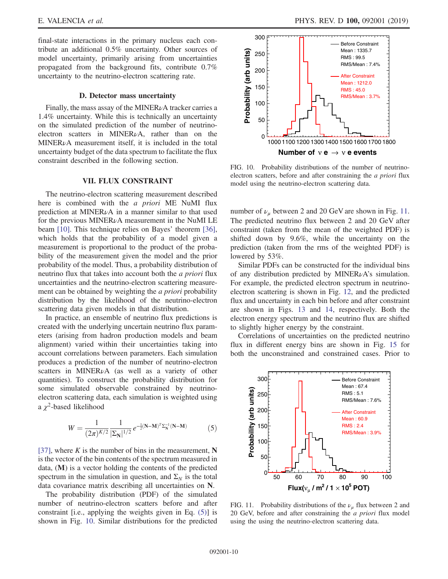final-state interactions in the primary nucleus each contribute an additional 0.5% uncertainty. Other sources of model uncertainty, primarily arising from uncertainties propagated from the background fits, contribute 0.7% uncertainty to the neutrino-electron scattering rate.

#### D. Detector mass uncertainty

Finally, the mass assay of the MINER $\nu$ A tracker carries a 1.4% uncertainty. While this is technically an uncertainty on the simulated prediction of the number of neutrinoelectron scatters in MINER<sub>V</sub>A, rather than on the  $MINER<sub>u</sub>A$  measurement itself, it is included in the total uncertainty budget of the data spectrum to facilitate the flux constraint described in the following section.

# VII. FLUX CONSTRAINT

<span id="page-9-0"></span>The neutrino-electron scattering measurement described here is combined with the *a priori* ME NuMI flux prediction at MINER $\nu$ A in a manner similar to that used for the previous MINER $\nu$ A measurement in the NuMI LE beam [\[10\]](#page-12-7). This technique relies on Bayes' theorem [\[36\]](#page-13-10), which holds that the probability of a model given a measurement is proportional to the product of the probability of the measurement given the model and the prior probability of the model. Thus, a probability distribution of neutrino flux that takes into account both the *a priori* flux uncertainties and the neutrino-electron scattering measurement can be obtained by weighting the *a priori* probability distribution by the likelihood of the neutrino-electron scattering data given models in that distribution.

In practice, an ensemble of neutrino flux predictions is created with the underlying uncertain neutrino flux parameters (arising from hadron production models and beam alignment) varied within their uncertainties taking into account correlations between parameters. Each simulation produces a prediction of the number of neutrino-electron scatters in MINER<sub>V</sub>A (as well as a variety of other quantities). To construct the probability distribution for some simulated observable constrained by neutrinoelectron scattering data, each simulation is weighted using a  $\chi^2$ -based likelihood

<span id="page-9-1"></span>
$$
W = \frac{1}{(2\pi)^{K/2}} \frac{1}{|\Sigma_{\mathbf{N}}|^{1/2}} e^{-\frac{1}{2}(\mathbf{N} - \mathbf{M})^T \Sigma_{\mathbf{N}}^{-1} (\mathbf{N} - \mathbf{M})}
$$
(5)

[\[37\]](#page-13-11), where  $K$  is the number of bins in the measurement, N is the vector of the bin contents of the spectrum measured in data, (M) is a vector holding the contents of the predicted spectrum in the simulation in question, and  $\Sigma_N$  is the total data covariance matrix describing all uncertainties on N.

The probability distribution (PDF) of the simulated number of neutrino-electron scatters before and after constraint [i.e., applying the weights given in Eq. [\(5\)\]](#page-9-1) is shown in Fig. [10](#page-9-2). Similar distributions for the predicted

<span id="page-9-2"></span>

FIG. 10. Probability distributions of the number of neutrinoelectron scatters, before and after constraining the a priori flux model using the neutrino-electron scattering data.

number of  $\nu_{\mu}$  between 2 and 20 GeV are shown in Fig. [11](#page-9-3). The predicted neutrino flux between 2 and 20 GeV after constraint (taken from the mean of the weighted PDF) is shifted down by 9.6%, while the uncertainty on the prediction (taken from the rms of the weighted PDF) is lowered by 53%.

Similar PDFs can be constructed for the individual bins of any distribution predicted by MINER<sub>v</sub>A's simulation. For example, the predicted electron spectrum in neutrinoelectron scattering is shown in Fig. [12,](#page-10-0) and the predicted flux and uncertainty in each bin before and after constraint are shown in Figs. [13](#page-10-1) and [14,](#page-10-2) respectively. Both the electron energy spectrum and the neutrino flux are shifted to slightly higher energy by the constraint.

Correlations of uncertainties on the predicted neutrino flux in different energy bins are shown in Fig. [15](#page-11-1) for both the unconstrained and constrained cases. Prior to

<span id="page-9-3"></span>

FIG. 11. Probability distributions of the  $\nu_u$  flux between 2 and 20 GeV, before and after constraining the a priori flux model using the using the neutrino-electron scattering data.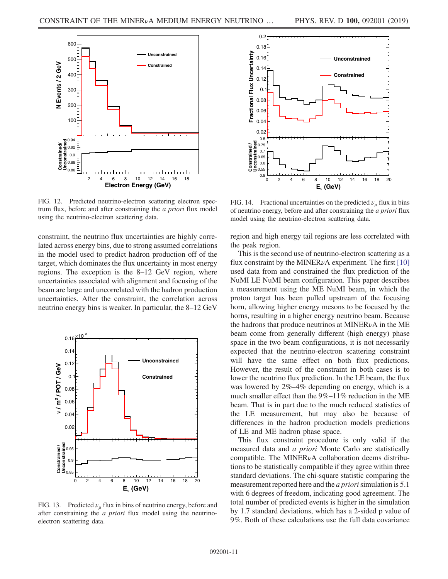<span id="page-10-0"></span>

FIG. 12. Predicted neutrino-electron scattering electron spectrum flux, before and after constraining the a priori flux model using the neutrino-electron scattering data.

constraint, the neutrino flux uncertainties are highly correlated across energy bins, due to strong assumed correlations in the model used to predict hadron production off of the target, which dominates the flux uncertainty in most energy regions. The exception is the 8–12 GeV region, where uncertainties associated with alignment and focusing of the beam are large and uncorrelated with the hadron production uncertainties. After the constraint, the correlation across neutrino energy bins is weaker. In particular, the 8–12 GeV

<span id="page-10-1"></span>

FIG. 13. Predicted  $\nu_{\mu}$  flux in bins of neutrino energy, before and after constraining the *a priori* flux model using the neutrinoelectron scattering data.

<span id="page-10-2"></span>

FIG. 14. Fractional uncertainties on the predicted  $\nu_{\mu}$  flux in bins of neutrino energy, before and after constraining the a priori flux model using the neutrino-electron scattering data.

region and high energy tail regions are less correlated with the peak region.

This is the second use of neutrino-electron scattering as a flux constraint by the MINER $\nu$ A experiment. The first [\[10\]](#page-12-7) used data from and constrained the flux prediction of the NuMI LE NuMI beam configuration. This paper describes a measurement using the ME NuMI beam, in which the proton target has been pulled upstream of the focusing horn, allowing higher energy mesons to be focused by the horns, resulting in a higher energy neutrino beam. Because the hadrons that produce neutrinos at MINER $\nu$ A in the ME beam come from generally different (high energy) phase space in the two beam configurations, it is not necessarily expected that the neutrino-electron scattering constraint will have the same effect on both flux predictions. However, the result of the constraint in both cases is to lower the neutrino flux prediction. In the LE beam, the flux was lowered by 2%–4% depending on energy, which is a much smaller effect than the 9%–11% reduction in the ME beam. That is in part due to the much reduced statistics of the LE measurement, but may also be because of differences in the hadron production models predictions of LE and ME hadron phase space.

This flux constraint procedure is only valid if the measured data and a priori Monte Carlo are statistically compatible. The MINER<sub>V</sub>A collaboration deems distributions to be statistically compatible if they agree within three standard deviations. The chi-square statistic comparing the measurement reported here and the *a priori* simulation is 5.1 with 6 degrees of freedom, indicating good agreement. The total number of predicted events is higher in the simulation by 1.7 standard deviations, which has a 2-sided p value of 9%. Both of these calculations use the full data covariance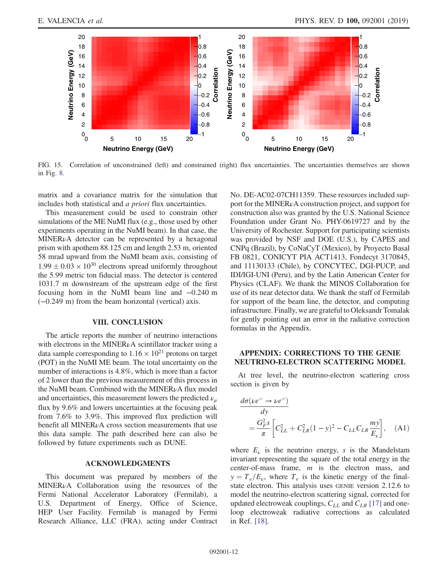<span id="page-11-1"></span>

FIG. 15. Correlation of unconstrained (left) and constrained (right) flux uncertainties. The uncertainties themselves are shown in Fig. [8.](#page-6-3)

matrix and a covariance matrix for the simulation that includes both statistical and a priori flux uncertainties.

This measurement could be used to constrain other simulations of the ME NuMI flux (e.g., those used by other experiments operating in the NuMI beam). In that case, the MINER<sub>V</sub>A detector can be represented by a hexagonal prism with apothem 88.125 cm and length 2.53 m, oriented 58 mrad upward from the NuMI beam axis, consisting of  $1.99 \pm 0.03 \times 10^{30}$  electrons spread uniformly throughout the 5.99 metric ton fiducial mass. The detector is centered 1031.7 m downstream of the upstream edge of the first focusing horn in the NuMI beam line and −0.240 m (−0.249 m) from the beam horizontal (vertical) axis.

## VIII. CONCLUSION

<span id="page-11-0"></span>The article reports the number of neutrino interactions with electrons in the MINER<sub>V</sub>A scintillator tracker using a data sample corresponding to  $1.16 \times 10^{21}$  protons on target (POT) in the NuMI ME beam. The total uncertainty on the number of interactions is 4.8%, which is more than a factor of 2 lower than the previous measurement of this process in the NuMI beam. Combined with the MINERνA flux model and uncertainties, this measurement lowers the predicted  $\nu_{\mu}$ flux by 9.6% and lowers uncertainties at the focusing peak from 7.6% to 3.9%. This improved flux prediction will benefit all MINERνA cross section measurements that use this data sample. The path described here can also be followed by future experiments such as DUNE.

# ACKNOWLEDGMENTS

This document was prepared by members of the MINER<sub>v</sub>A Collaboration using the resources of the Fermi National Accelerator Laboratory (Fermilab), a U.S. Department of Energy, Office of Science, HEP User Facility. Fermilab is managed by Fermi Research Alliance, LLC (FRA), acting under Contract No. DE-AC02-07CH11359. These resources included support for the MINERνA construction project, and support for construction also was granted by the U.S. National Science Foundation under Grant No. PHY-0619727 and by the University of Rochester. Support for participating scientists was provided by NSF and DOE (U.S.), by CAPES and CNPq (Brazil), by CoNaCyT (Mexico), by Proyecto Basal FB 0821, CONICYT PIA ACT1413, Fondecyt 3170845, and 11130133 (Chile), by CONCYTEC, DGI-PUCP, and IDI/IGI-UNI (Peru), and by the Latin American Center for Physics (CLAF). We thank the MINOS Collaboration for use of its near detector data. We thank the staff of Fermilab for support of the beam line, the detector, and computing infrastructure. Finally, we are grateful to Oleksandr Tomalak for gently pointing out an error in the radiative correction formulas in the Appendix.

# APPENDIX: CORRECTIONS TO THE GENIE NEUTRINO-ELECTRON SCATTERING MODEL

<span id="page-11-2"></span>At tree level, the neutrino-electron scattering cross section is given by

$$
\frac{d\sigma(\nu e^- \to \nu e^-)}{dy}
$$
  
= 
$$
\frac{G_F^2 s}{\pi} \left[ C_{LL}^2 + C_{LR}^2 (1 - y)^2 - C_{LL} C_{LR} \frac{m y}{E_\nu} \right],
$$
 (A1)

where  $E_{\nu}$  is the neutrino energy, s is the Mandelstam invariant representing the square of the total energy in the center-of-mass frame, m is the electron mass, and  $y = T_e/E_\nu$ , where  $T_e$  is the kinetic energy of the finalstate electron. This analysis uses GENIE version 2.12.6 to model the neutrino-electron scattering signal, corrected for updated electroweak couplings,  $C_{LL}$  and  $C_{LR}$  [\[17\]](#page-12-14) and oneloop electroweak radiative corrections as calculated in Ref. [\[18\]](#page-12-15).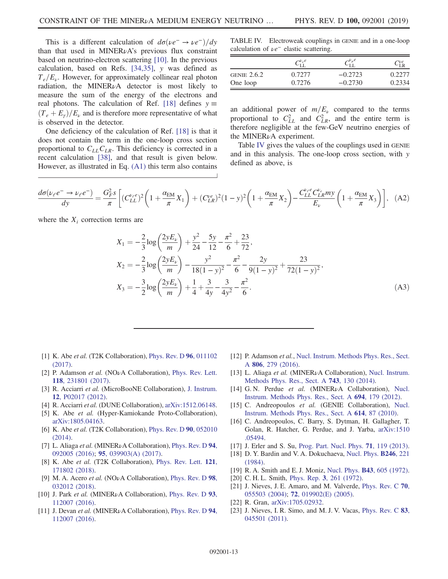This is a different calculation of  $d\sigma(\nu e^- \rightarrow \nu e^-)/d\nu$ than that used in MINER $\nu$ A's previous flux constraint based on neutrino-electron scattering [\[10\].](#page-12-7) In the previous calculation, based on Refs. [\[34,35\],](#page-13-9) y was defined as  $T_e/E_v$ . However, for approximately collinear real photon radiation, the MINER<sub> $\nu$ A</sub> detector is most likely to measure the sum of the energy of the electrons and real photons. The calculation of Ref. [\[18\]](#page-12-15) defines  $y \equiv$  $(T_e + E_y)/E_y$  and is therefore more representative of what is observed in the detector.

One deficiency of the calculation of Ref. [\[18\]](#page-12-15) is that it does not contain the term in the one-loop cross section proportional to  $C_{LL}C_{LR}$ . This deficiency is corrected in a recent calculation [\[38\],](#page-13-12) and that result is given below. However, as illustrated in Eq. [\(A1\)](#page-11-2) this term also contains

<span id="page-12-21"></span>TABLE IV. Electroweak couplings in GENIE and in a one-loop calculation of  $\nu e^-$  elastic scattering.

|               | $C_{\text{II}}^{\nu_e e}$ | $\tau_{\text{H}}^{\nu_{\mu}e}$ | $C_{\text{IR}}^{\nu e}$ |
|---------------|---------------------------|--------------------------------|-------------------------|
| GENIE $2.6.2$ | 0.7277                    | $-0.2723$                      | 0.2277                  |
| One loop      | 0.7276                    | $-0.2730$                      | 0.2334                  |

an additional power of  $m/E_v$  compared to the terms proportional to  $C_{LL}^2$  and  $C_{LR}^2$ , and the entire term is therefore negligible at the few-GeV neutrino energies of the MINER $\nu$ A experiment.

Table [IV](#page-12-21) gives the values of the couplings used in GENIE and in this analysis. The one-loop cross section, with y defined as above, is

$$
\frac{d\sigma(\nu_e e^- \to \nu_e e^-)}{dy} = \frac{G_F^2 s}{\pi} \left[ (C_{LL}^{\nu_e e})^2 \left( 1 + \frac{\alpha_{EM}}{\pi} X_1 \right) + (C_{LR}^{\nu_e e})^2 (1 - y)^2 \left( 1 + \frac{\alpha_{EM}}{\pi} X_2 \right) - \frac{C_{LL}^{\nu_e e} C_{LR}^{\nu_e m} y}{E_\nu} \left( 1 + \frac{\alpha_{EM}}{\pi} X_3 \right) \right], \quad (A2)
$$

where the  $X_i$  correction terms are

$$
X_1 = -\frac{2}{3}\log\left(\frac{2yE_\nu}{m}\right) + \frac{y^2}{24} - \frac{5y}{12} - \frac{\pi^2}{6} + \frac{23}{72},
$$
  
\n
$$
X_2 = -\frac{2}{3}\log\left(\frac{2yE_\nu}{m}\right) - \frac{y^2}{18(1-y)^2} - \frac{\pi^2}{6} - \frac{2y}{9(1-y)^2} + \frac{23}{72(1-y)^2},
$$
  
\n
$$
X_3 = -\frac{3}{2}\log\left(\frac{2yE_\nu}{m}\right) + \frac{1}{4} + \frac{3}{4y} - \frac{3}{4y^2} - \frac{\pi^2}{6}.
$$
\n(A3)

- <span id="page-12-0"></span>[1] K. Abe et al. (T2K Collaboration), [Phys. Rev. D](https://doi.org/10.1103/PhysRevD.96.011102) 96, 011102 [\(2017\).](https://doi.org/10.1103/PhysRevD.96.011102)
- <span id="page-12-1"></span>[2] P. Adamson et al. (NOvA Collaboration), [Phys. Rev. Lett.](https://doi.org/10.1103/PhysRevLett.118.231801) 118[, 231801 \(2017\).](https://doi.org/10.1103/PhysRevLett.118.231801)
- <span id="page-12-2"></span>[3] R. Acciarri et al. (MicroBooNE Collaboration), [J. Instrum.](https://doi.org/10.1088/1748-0221/12/02/P02017) 12[, P02017 \(2012\)](https://doi.org/10.1088/1748-0221/12/02/P02017).
- <span id="page-12-3"></span>[4] R. Acciarri et al. (DUNE Collaboration), [arXiv:1512.06148.](https://arXiv.org/abs/1512.06148)
- <span id="page-12-4"></span>[5] K. Abe et al. (Hyper-Kamiokande Proto-Collaboration), [arXiv:1805.04163.](https://arXiv.org/abs/1805.04163)
- <span id="page-12-5"></span>[6] K. Abe et al. (T2K Collaboration), [Phys. Rev. D](https://doi.org/10.1103/PhysRevD.90.052010) 90, 052010 [\(2014\).](https://doi.org/10.1103/PhysRevD.90.052010)
- <span id="page-12-10"></span>[7] L. Aliaga et al. (MINER<sub>V</sub>A Collaboration), [Phys. Rev. D](https://doi.org/10.1103/PhysRevD.94.092005) 94, [092005 \(2016\);](https://doi.org/10.1103/PhysRevD.94.092005) 95[, 039903\(A\) \(2017\).](https://doi.org/10.1103/PhysRevD.95.039903)
- <span id="page-12-6"></span>[8] K. Abe et al. (T2K Collaboration), [Phys. Rev. Lett.](https://doi.org/10.1103/PhysRevLett.121.171802) 121, [171802 \(2018\).](https://doi.org/10.1103/PhysRevLett.121.171802)
- [9] M. A. Acero et al. (NO<sub>V</sub>A Collaboration), [Phys. Rev. D](https://doi.org/10.1103/PhysRevD.98.032012) 98, [032012 \(2018\).](https://doi.org/10.1103/PhysRevD.98.032012)
- <span id="page-12-7"></span>[10] J. Park et al. (MINER<sub>V</sub>A Collaboration), [Phys. Rev. D](https://doi.org/10.1103/PhysRevD.93.112007) 93, [112007 \(2016\).](https://doi.org/10.1103/PhysRevD.93.112007)
- <span id="page-12-8"></span>[11] J. Devan et al. (MINER<sub>V</sub>A Collaboration), [Phys. Rev. D](https://doi.org/10.1103/PhysRevD.94.112007) 94, [112007 \(2016\).](https://doi.org/10.1103/PhysRevD.94.112007)
- <span id="page-12-9"></span>[12] P. Adamson et al., [Nucl. Instrum. Methods Phys. Res., Sect.](https://doi.org/10.1016/j.nima.2015.08.063) A 806[, 279 \(2016\).](https://doi.org/10.1016/j.nima.2015.08.063)
- <span id="page-12-11"></span>[13] L. Aliaga et al. (MINER<sub>V</sub>A Collaboration), [Nucl. Instrum.](https://doi.org/10.1016/j.nima.2013.12.053) [Methods Phys. Res., Sect. A](https://doi.org/10.1016/j.nima.2013.12.053) 743, 130 (2014).
- <span id="page-12-12"></span>[14] G. N. Perdue et al. (MINER<sub>V</sub>A Collaboration), [Nucl.](https://doi.org/10.1016/j.nima.2012.08.024) [Instrum. Methods Phys. Res., Sect. A](https://doi.org/10.1016/j.nima.2012.08.024) 694, 179 (2012).
- <span id="page-12-13"></span>[15] C. Andreopoulos et al. (GENIE Collaboration), [Nucl.](https://doi.org/10.1016/j.nima.2009.12.009) [Instrum. Methods Phys. Res., Sect. A](https://doi.org/10.1016/j.nima.2009.12.009) 614, 87 (2010).
- [16] C. Andreopoulos, C. Barry, S. Dytman, H. Gallagher, T. Golan, R. Hatcher, G. Perdue, and J. Yarba, [arXiv:1510](https://arXiv.org/abs/1510.05494) [.05494.](https://arXiv.org/abs/1510.05494)
- <span id="page-12-15"></span><span id="page-12-14"></span>[17] J. Erler and S. Su, [Prog. Part. Nucl. Phys.](https://doi.org/10.1016/j.ppnp.2013.03.004) **71**, 119 (2013).
- [18] D. Y. Bardin and V. A. Dokuchaeva, [Nucl. Phys.](https://doi.org/10.1016/0550-3213(84)90293-1) B246, 221 [\(1984\).](https://doi.org/10.1016/0550-3213(84)90293-1)
- <span id="page-12-17"></span><span id="page-12-16"></span>[19] R. A. Smith and E. J. Moniz, Nucl. Phys. B43[, 605 \(1972\).](https://doi.org/10.1016/0550-3213(72)90040-5)
- <span id="page-12-18"></span>[20] C. H. L. Smith, Phys. Rep. 3[, 261 \(1972\)](https://doi.org/10.1016/0370-1573(72)90010-5).
- [21] J. Nieves, J. E. Amaro, and M. Valverde, [Phys. Rev. C](https://doi.org/10.1103/PhysRevC.70.055503) 70, [055503 \(2004\);](https://doi.org/10.1103/PhysRevC.70.055503) 72[, 019902\(E\) \(2005\).](https://doi.org/10.1103/PhysRevC.72.019902)
- <span id="page-12-20"></span><span id="page-12-19"></span>[22] R. Gran, [arXiv:1705.02932](https://arXiv.org/abs/1705.02932).
- [23] J. Nieves, I. R. Simo, and M. J. V. Vacas, [Phys. Rev. C](https://doi.org/10.1103/PhysRevC.83.045501) 83, [045501 \(2011\).](https://doi.org/10.1103/PhysRevC.83.045501)